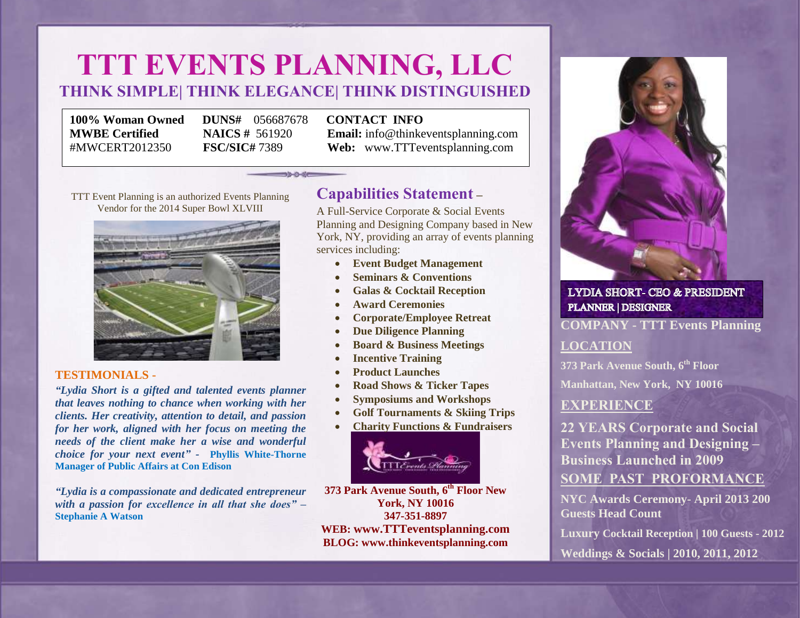# **TTT EVENTS PLANNING, LLC THINK SIMPLE| THINK ELEGANCE| THINK DISTINGUISHED**

 $35 - 0 - 0$ 

**100% Woman Owned DUNS#** 056687678 **CONTACT INFO**

**MWBE Certified NAICS #** 561920 **Email:** info@thinkeventsplanning.com #MWCERT2012350 **FSC/SIC#** 7389 **Web:** www.TTTeventsplanning.com

TTT Event Planning is an authorized Events Planning Vendor for the 2014 Super Bowl XLVIII



### **TESTIMONIALS -**

*"Lydia Short is a gifted and talented events planner that leaves nothing to chance when working with her clients. Her creativity, attention to detail, and passion for her work, aligned with her focus on meeting the needs of the client make her a wise and wonderful choice for your next event" -* **[Phyllis White-Thorne](https://www.linkedin.com/profile/view?id=18551569&authToken=Yy2F) Manager of Public Affairs at Con Edison**

*"Lydia is a compassionate and dedicated entrepreneur with a passion for excellence in all that she does" –* **Stephanie A Watson**

# **Capabilities Statement –**

A Full-Service Corporate & Social Events Planning and Designing Company based in New York, NY, providing an array of events planning services including:

- **Event Budget Management**
- **Seminars & Conventions**
- **Galas & Cocktail Reception**
- **Award Ceremonies**
- **Corporate/Employee Retreat**
- **Due Diligence Planning**
- **Board & Business Meetings**
- **Incentive Training**
- **Product Launches**
- **Road Shows & Ticker Tapes**
- **Symposiums and Workshops**
- **Golf Tournaments & Skiing Trips**
- **Charity Functions & Fundraisers**



**373 Park Avenue South, 6th Floor New York, NY 10016 347-351-8897 WEB: [www.TTTeventsplanning.com](http://www.ttteventsplanning.com/) BLOG: www.thinkeventsplanning.com**



**LYDIA SHORT- CEO & PRESIDENT** PLANNER | DESIGNER

### **COMPANY - TTT Events Planning**

### **LOCATION**

**373 Park Avenue South, 6th Floor**

**Manhattan, New York, NY 10016**

## **EXPERIENCE**

**22 YEARS Corporate and Social Events Planning and Designing – Business Launched in 2009 SOME PAST PROFORMANCE**

**NYC Awards Ceremony- April 2013 200 Guests Head Count**

**Luxury Cocktail Reception | 100 Guests - 2012**

**Weddings & Socials | 2010, 2011, 2012**